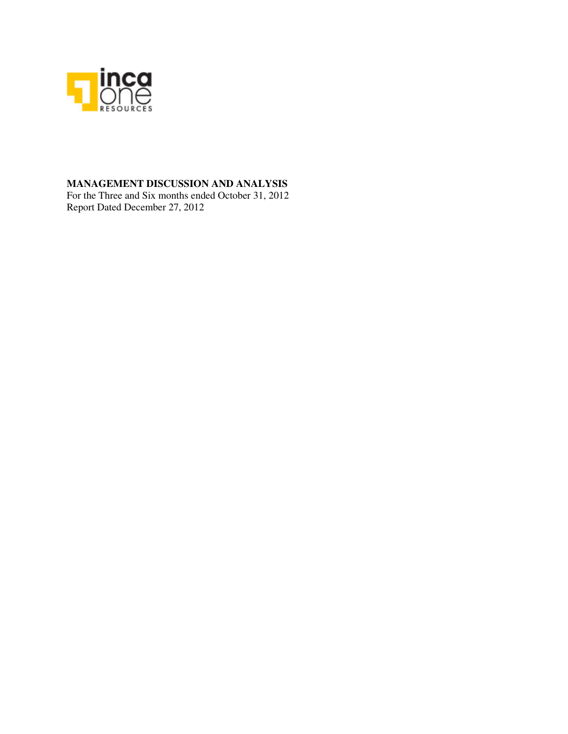

## **MANAGEMENT DISCUSSION AND ANALYSIS**

For the Three and Six months ended October 31, 2012 Report Dated December 27, 2012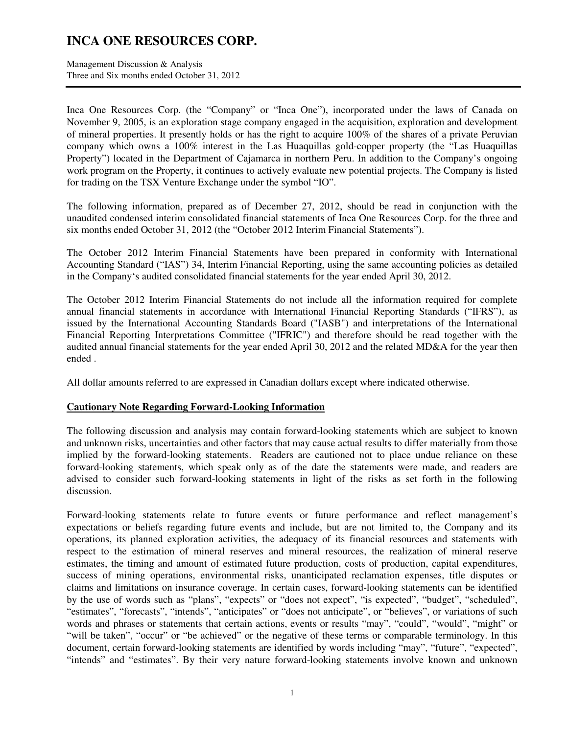Management Discussion & Analysis Three and Six months ended October 31, 2012

Inca One Resources Corp. (the "Company" or "Inca One"), incorporated under the laws of Canada on November 9, 2005, is an exploration stage company engaged in the acquisition, exploration and development of mineral properties. It presently holds or has the right to acquire 100% of the shares of a private Peruvian company which owns a 100% interest in the Las Huaquillas gold-copper property (the "Las Huaquillas Property") located in the Department of Cajamarca in northern Peru. In addition to the Company's ongoing work program on the Property, it continues to actively evaluate new potential projects. The Company is listed for trading on the TSX Venture Exchange under the symbol "IO".

The following information, prepared as of December 27, 2012, should be read in conjunction with the unaudited condensed interim consolidated financial statements of Inca One Resources Corp. for the three and six months ended October 31, 2012 (the "October 2012 Interim Financial Statements").

The October 2012 Interim Financial Statements have been prepared in conformity with International Accounting Standard ("IAS") 34, Interim Financial Reporting, using the same accounting policies as detailed in the Company's audited consolidated financial statements for the year ended April 30, 2012.

The October 2012 Interim Financial Statements do not include all the information required for complete annual financial statements in accordance with International Financial Reporting Standards ("IFRS"), as issued by the International Accounting Standards Board ("IASB") and interpretations of the International Financial Reporting Interpretations Committee ("IFRIC") and therefore should be read together with the audited annual financial statements for the year ended April 30, 2012 and the related MD&A for the year then ended .

All dollar amounts referred to are expressed in Canadian dollars except where indicated otherwise.

### **Cautionary Note Regarding Forward-Looking Information**

The following discussion and analysis may contain forward-looking statements which are subject to known and unknown risks, uncertainties and other factors that may cause actual results to differ materially from those implied by the forward-looking statements. Readers are cautioned not to place undue reliance on these forward-looking statements, which speak only as of the date the statements were made, and readers are advised to consider such forward-looking statements in light of the risks as set forth in the following discussion.

Forward-looking statements relate to future events or future performance and reflect management's expectations or beliefs regarding future events and include, but are not limited to, the Company and its operations, its planned exploration activities, the adequacy of its financial resources and statements with respect to the estimation of mineral reserves and mineral resources, the realization of mineral reserve estimates, the timing and amount of estimated future production, costs of production, capital expenditures, success of mining operations, environmental risks, unanticipated reclamation expenses, title disputes or claims and limitations on insurance coverage. In certain cases, forward-looking statements can be identified by the use of words such as "plans", "expects" or "does not expect", "is expected", "budget", "scheduled", "estimates", "forecasts", "intends", "anticipates" or "does not anticipate", or "believes", or variations of such words and phrases or statements that certain actions, events or results "may", "could", "would", "might" or "will be taken", "occur" or "be achieved" or the negative of these terms or comparable terminology. In this document, certain forward-looking statements are identified by words including "may", "future", "expected", "intends" and "estimates". By their very nature forward-looking statements involve known and unknown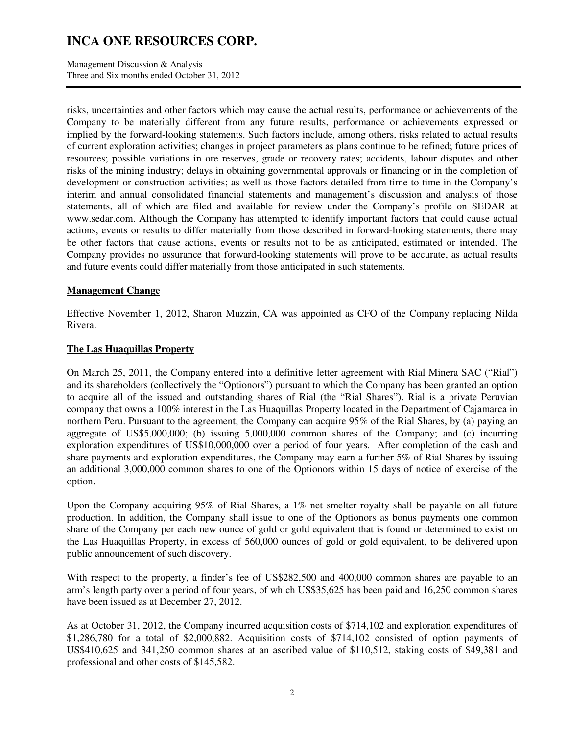Management Discussion & Analysis Three and Six months ended October 31, 2012

risks, uncertainties and other factors which may cause the actual results, performance or achievements of the Company to be materially different from any future results, performance or achievements expressed or implied by the forward-looking statements. Such factors include, among others, risks related to actual results of current exploration activities; changes in project parameters as plans continue to be refined; future prices of resources; possible variations in ore reserves, grade or recovery rates; accidents, labour disputes and other risks of the mining industry; delays in obtaining governmental approvals or financing or in the completion of development or construction activities; as well as those factors detailed from time to time in the Company's interim and annual consolidated financial statements and management's discussion and analysis of those statements, all of which are filed and available for review under the Company's profile on SEDAR at www.sedar.com. Although the Company has attempted to identify important factors that could cause actual actions, events or results to differ materially from those described in forward-looking statements, there may be other factors that cause actions, events or results not to be as anticipated, estimated or intended. The Company provides no assurance that forward-looking statements will prove to be accurate, as actual results and future events could differ materially from those anticipated in such statements.

## **Management Change**

Effective November 1, 2012, Sharon Muzzin, CA was appointed as CFO of the Company replacing Nilda Rivera.

## **The Las Huaquillas Property**

On March 25, 2011, the Company entered into a definitive letter agreement with Rial Minera SAC ("Rial") and its shareholders (collectively the "Optionors") pursuant to which the Company has been granted an option to acquire all of the issued and outstanding shares of Rial (the "Rial Shares"). Rial is a private Peruvian company that owns a 100% interest in the Las Huaquillas Property located in the Department of Cajamarca in northern Peru. Pursuant to the agreement, the Company can acquire 95% of the Rial Shares, by (a) paying an aggregate of US\$5,000,000; (b) issuing 5,000,000 common shares of the Company; and (c) incurring exploration expenditures of US\$10,000,000 over a period of four years. After completion of the cash and share payments and exploration expenditures, the Company may earn a further 5% of Rial Shares by issuing an additional 3,000,000 common shares to one of the Optionors within 15 days of notice of exercise of the option.

Upon the Company acquiring 95% of Rial Shares, a 1% net smelter royalty shall be payable on all future production. In addition, the Company shall issue to one of the Optionors as bonus payments one common share of the Company per each new ounce of gold or gold equivalent that is found or determined to exist on the Las Huaquillas Property, in excess of 560,000 ounces of gold or gold equivalent, to be delivered upon public announcement of such discovery.

With respect to the property, a finder's fee of US\$282,500 and 400,000 common shares are payable to an arm's length party over a period of four years, of which US\$35,625 has been paid and 16,250 common shares have been issued as at December 27, 2012.

As at October 31, 2012, the Company incurred acquisition costs of \$714,102 and exploration expenditures of \$1,286,780 for a total of \$2,000,882. Acquisition costs of \$714,102 consisted of option payments of US\$410,625 and 341,250 common shares at an ascribed value of \$110,512, staking costs of \$49,381 and professional and other costs of \$145,582.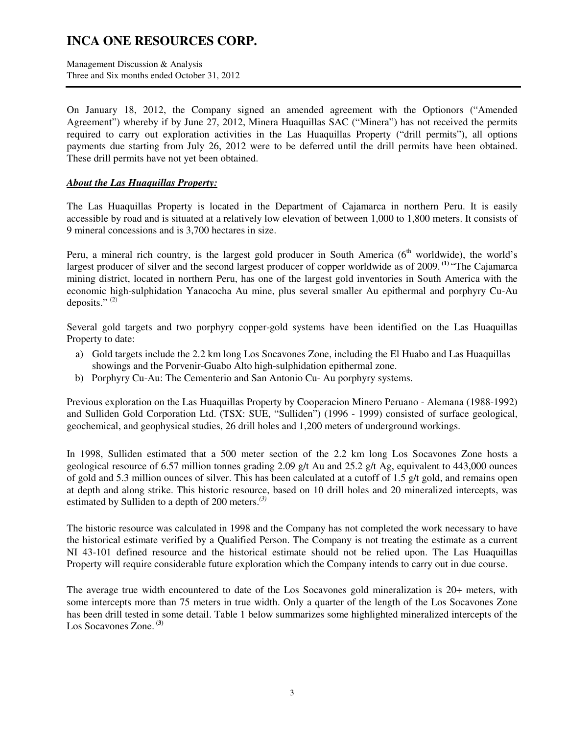Management Discussion & Analysis Three and Six months ended October 31, 2012

On January 18, 2012, the Company signed an amended agreement with the Optionors ("Amended Agreement") whereby if by June 27, 2012, Minera Huaquillas SAC ("Minera") has not received the permits required to carry out exploration activities in the Las Huaquillas Property ("drill permits"), all options payments due starting from July 26, 2012 were to be deferred until the drill permits have been obtained. These drill permits have not yet been obtained.

### *About the Las Huaquillas Property:*

The Las Huaquillas Property is located in the Department of Cajamarca in northern Peru. It is easily accessible by road and is situated at a relatively low elevation of between 1,000 to 1,800 meters. It consists of 9 mineral concessions and is 3,700 hectares in size.

Peru, a mineral rich country, is the largest gold producer in South America  $(6<sup>th</sup>$  worldwide), the world's largest producer of silver and the second largest producer of copper worldwide as of 2009.<sup>(1)</sup> "The Cajamarca mining district, located in northern Peru, has one of the largest gold inventories in South America with the economic high-sulphidation Yanacocha Au mine, plus several smaller Au epithermal and porphyry Cu-Au deposits." $(2)$ 

Several gold targets and two porphyry copper-gold systems have been identified on the Las Huaquillas Property to date:

- a) Gold targets include the 2.2 km long Los Socavones Zone, including the El Huabo and Las Huaquillas showings and the Porvenir-Guabo Alto high-sulphidation epithermal zone.
- b) Porphyry Cu-Au: The Cementerio and San Antonio Cu- Au porphyry systems.

Previous exploration on the Las Huaquillas Property by Cooperacion Minero Peruano - Alemana (1988-1992) and Sulliden Gold Corporation Ltd. (TSX: SUE, "Sulliden") (1996 - 1999) consisted of surface geological, geochemical, and geophysical studies, 26 drill holes and 1,200 meters of underground workings.

In 1998, Sulliden estimated that a 500 meter section of the 2.2 km long Los Socavones Zone hosts a geological resource of 6.57 million tonnes grading 2.09 g/t Au and 25.2 g/t Ag, equivalent to 443,000 ounces of gold and 5.3 million ounces of silver. This has been calculated at a cutoff of 1.5 g/t gold, and remains open at depth and along strike. This historic resource, based on 10 drill holes and 20 mineralized intercepts, was estimated by Sulliden to a depth of 200 meters.*(3)* 

The historic resource was calculated in 1998 and the Company has not completed the work necessary to have the historical estimate verified by a Qualified Person. The Company is not treating the estimate as a current NI 43-101 defined resource and the historical estimate should not be relied upon. The Las Huaquillas Property will require considerable future exploration which the Company intends to carry out in due course.

The average true width encountered to date of the Los Socavones gold mineralization is 20+ meters, with some intercepts more than 75 meters in true width. Only a quarter of the length of the Los Socavones Zone has been drill tested in some detail. Table 1 below summarizes some highlighted mineralized intercepts of the Los Socavones Zone. **(3)**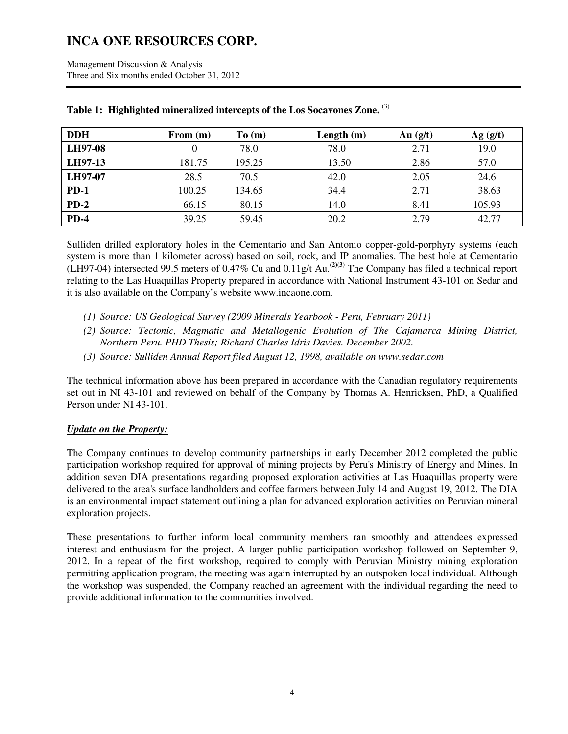| <b>DDH</b> | From $(m)$ | To(m)  | Length $(m)$ | Au $(g/t)$ | Ag(g/t) |
|------------|------------|--------|--------------|------------|---------|
| LH97-08    |            | 78.0   | 78.0         | 2.71       | 19.0    |
| LH97-13    | 181.75     | 195.25 | 13.50        | 2.86       | 57.0    |
| LH97-07    | 28.5       | 70.5   | 42.0         | 2.05       | 24.6    |
| $PD-1$     | 100.25     | 134.65 | 34.4         | 2.71       | 38.63   |
| $PD-2$     | 66.15      | 80.15  | 14.0         | 8.41       | 105.93  |
| $PD-4$     | 39.25      | 59.45  | 20.2         | 2.79       | 42.77   |

## **Table 1: Highlighted mineralized intercepts of the Los Socavones Zone.** (3)

Sulliden drilled exploratory holes in the Cementario and San Antonio copper-gold-porphyry systems (each system is more than 1 kilometer across) based on soil, rock, and IP anomalies. The best hole at Cementario (LH97-04) intersected 99.5 meters of 0.47% Cu and 0.11g/t Au.**(2)(3)** The Company has filed a technical report relating to the Las Huaquillas Property prepared in accordance with National Instrument 43-101 on Sedar and it is also available on the Company's website www.incaone.com.

- *(1) Source: US Geological Survey (2009 Minerals Yearbook Peru, February 2011)*
- *(2) Source: Tectonic, Magmatic and Metallogenic Evolution of The Cajamarca Mining District, Northern Peru. PHD Thesis; Richard Charles Idris Davies. December 2002.*
- *(3) Source: Sulliden Annual Report filed August 12, 1998, available on www.sedar.com*

The technical information above has been prepared in accordance with the Canadian regulatory requirements set out in NI 43-101 and reviewed on behalf of the Company by Thomas A. Henricksen, PhD, a Qualified Person under NI 43-101.

## *Update on the Property:*

The Company continues to develop community partnerships in early December 2012 completed the public participation workshop required for approval of mining projects by Peru's Ministry of Energy and Mines. In addition seven DIA presentations regarding proposed exploration activities at Las Huaquillas property were delivered to the area's surface landholders and coffee farmers between July 14 and August 19, 2012. The DIA is an environmental impact statement outlining a plan for advanced exploration activities on Peruvian mineral exploration projects.

These presentations to further inform local community members ran smoothly and attendees expressed interest and enthusiasm for the project. A larger public participation workshop followed on September 9, 2012. In a repeat of the first workshop, required to comply with Peruvian Ministry mining exploration permitting application program, the meeting was again interrupted by an outspoken local individual. Although the workshop was suspended, the Company reached an agreement with the individual regarding the need to provide additional information to the communities involved.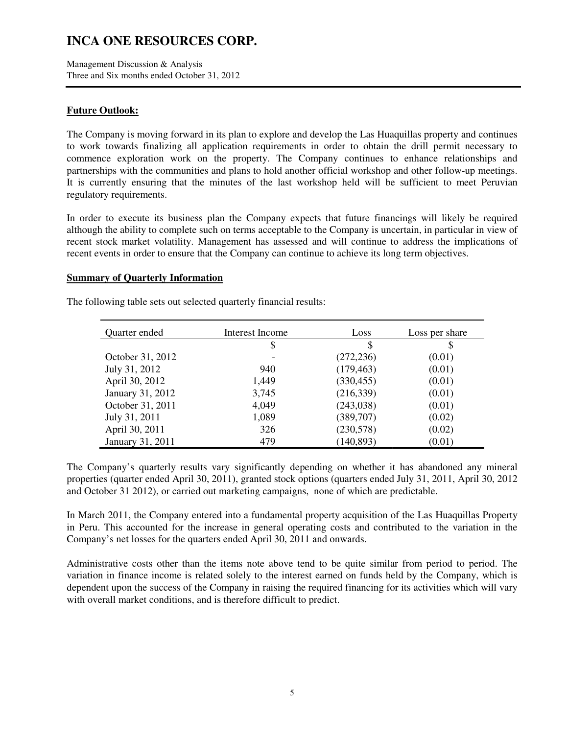Management Discussion & Analysis Three and Six months ended October 31, 2012

### **Future Outlook:**

The Company is moving forward in its plan to explore and develop the Las Huaquillas property and continues to work towards finalizing all application requirements in order to obtain the drill permit necessary to commence exploration work on the property. The Company continues to enhance relationships and partnerships with the communities and plans to hold another official workshop and other follow-up meetings. It is currently ensuring that the minutes of the last workshop held will be sufficient to meet Peruvian regulatory requirements.

In order to execute its business plan the Company expects that future financings will likely be required although the ability to complete such on terms acceptable to the Company is uncertain, in particular in view of recent stock market volatility. Management has assessed and will continue to address the implications of recent events in order to ensure that the Company can continue to achieve its long term objectives.

#### **Summary of Quarterly Information**

| Quarter ended<br>Interest Income |       | Loss       | Loss per share |
|----------------------------------|-------|------------|----------------|
|                                  | \$    | \$         | \$             |
| October 31, 2012                 |       | (272, 236) | (0.01)         |
| July 31, 2012                    | 940   | (179, 463) | (0.01)         |
| April 30, 2012                   | 1,449 | (330, 455) | (0.01)         |
| January 31, 2012                 | 3,745 | (216, 339) | (0.01)         |
| October 31, 2011                 | 4,049 | (243, 038) | (0.01)         |
| July 31, 2011                    | 1,089 | (389,707)  | (0.02)         |
| April 30, 2011                   | 326   | (230,578)  | (0.02)         |
| January 31, 2011                 | 479   | (140, 893) | (0.01)         |

The following table sets out selected quarterly financial results:

The Company's quarterly results vary significantly depending on whether it has abandoned any mineral properties (quarter ended April 30, 2011), granted stock options (quarters ended July 31, 2011, April 30, 2012 and October 31 2012), or carried out marketing campaigns, none of which are predictable.

In March 2011, the Company entered into a fundamental property acquisition of the Las Huaquillas Property in Peru. This accounted for the increase in general operating costs and contributed to the variation in the Company's net losses for the quarters ended April 30, 2011 and onwards.

Administrative costs other than the items note above tend to be quite similar from period to period. The variation in finance income is related solely to the interest earned on funds held by the Company, which is dependent upon the success of the Company in raising the required financing for its activities which will vary with overall market conditions, and is therefore difficult to predict.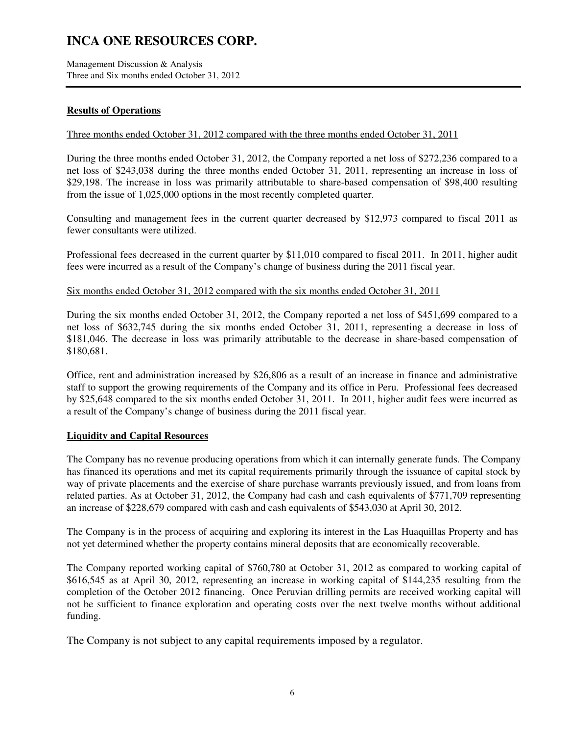Management Discussion & Analysis Three and Six months ended October 31, 2012

## **Results of Operations**

### Three months ended October 31, 2012 compared with the three months ended October 31, 2011

During the three months ended October 31, 2012, the Company reported a net loss of \$272,236 compared to a net loss of \$243,038 during the three months ended October 31, 2011, representing an increase in loss of \$29,198. The increase in loss was primarily attributable to share-based compensation of \$98,400 resulting from the issue of 1,025,000 options in the most recently completed quarter.

Consulting and management fees in the current quarter decreased by \$12,973 compared to fiscal 2011 as fewer consultants were utilized.

Professional fees decreased in the current quarter by \$11,010 compared to fiscal 2011. In 2011, higher audit fees were incurred as a result of the Company's change of business during the 2011 fiscal year.

#### Six months ended October 31, 2012 compared with the six months ended October 31, 2011

During the six months ended October 31, 2012, the Company reported a net loss of \$451,699 compared to a net loss of \$632,745 during the six months ended October 31, 2011, representing a decrease in loss of \$181,046. The decrease in loss was primarily attributable to the decrease in share-based compensation of \$180,681.

Office, rent and administration increased by \$26,806 as a result of an increase in finance and administrative staff to support the growing requirements of the Company and its office in Peru. Professional fees decreased by \$25,648 compared to the six months ended October 31, 2011. In 2011, higher audit fees were incurred as a result of the Company's change of business during the 2011 fiscal year.

### **Liquidity and Capital Resources**

The Company has no revenue producing operations from which it can internally generate funds. The Company has financed its operations and met its capital requirements primarily through the issuance of capital stock by way of private placements and the exercise of share purchase warrants previously issued, and from loans from related parties. As at October 31, 2012, the Company had cash and cash equivalents of \$771,709 representing an increase of \$228,679 compared with cash and cash equivalents of \$543,030 at April 30, 2012.

The Company is in the process of acquiring and exploring its interest in the Las Huaquillas Property and has not yet determined whether the property contains mineral deposits that are economically recoverable.

The Company reported working capital of \$760,780 at October 31, 2012 as compared to working capital of \$616,545 as at April 30, 2012, representing an increase in working capital of \$144,235 resulting from the completion of the October 2012 financing. Once Peruvian drilling permits are received working capital will not be sufficient to finance exploration and operating costs over the next twelve months without additional funding.

The Company is not subject to any capital requirements imposed by a regulator.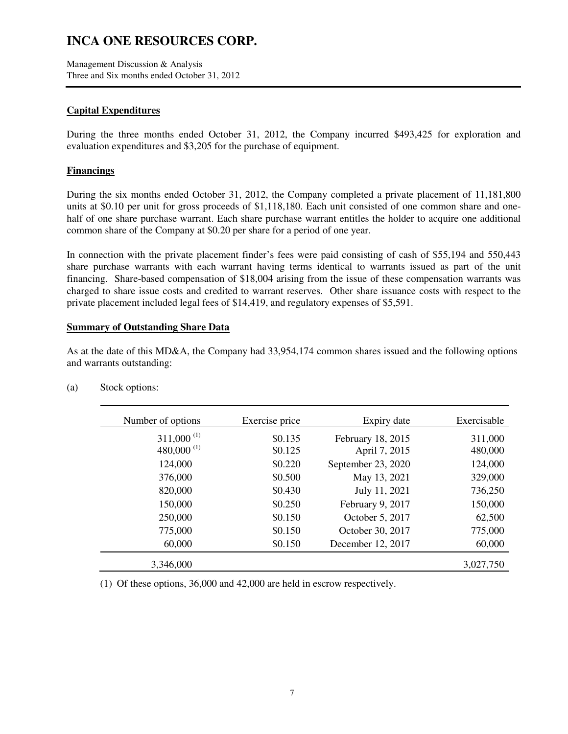Management Discussion & Analysis Three and Six months ended October 31, 2012

## **Capital Expenditures**

During the three months ended October 31, 2012, the Company incurred \$493,425 for exploration and evaluation expenditures and \$3,205 for the purchase of equipment.

## **Financings**

During the six months ended October 31, 2012, the Company completed a private placement of 11,181,800 units at \$0.10 per unit for gross proceeds of \$1,118,180. Each unit consisted of one common share and onehalf of one share purchase warrant. Each share purchase warrant entitles the holder to acquire one additional common share of the Company at \$0.20 per share for a period of one year.

In connection with the private placement finder's fees were paid consisting of cash of \$55,194 and 550,443 share purchase warrants with each warrant having terms identical to warrants issued as part of the unit financing. Share-based compensation of \$18,004 arising from the issue of these compensation warrants was charged to share issue costs and credited to warrant reserves. Other share issuance costs with respect to the private placement included legal fees of \$14,419, and regulatory expenses of \$5,591.

#### **Summary of Outstanding Share Data**

As at the date of this MD&A, the Company had 33,954,174 common shares issued and the following options and warrants outstanding:

| Number of options | Exercise price | Expiry date        | Exercisable |
|-------------------|----------------|--------------------|-------------|
| $311,000^{(1)}$   | \$0.135        | February 18, 2015  | 311,000     |
| 480,000 $^{(1)}$  | \$0.125        | April 7, 2015      | 480,000     |
| 124,000           | \$0.220        | September 23, 2020 | 124,000     |
| 376,000           | \$0.500        | May 13, 2021       | 329,000     |
| 820,000           | \$0.430        | July 11, 2021      | 736,250     |
| 150,000           | \$0.250        | February 9, 2017   | 150,000     |
| 250,000           | \$0.150        | October 5, 2017    | 62,500      |
| 775,000           | \$0.150        | October 30, 2017   | 775,000     |
| 60,000            | \$0.150        | December 12, 2017  | 60,000      |
| 3,346,000         |                |                    | 3,027,750   |

(a) Stock options:

(1) Of these options, 36,000 and 42,000 are held in escrow respectively.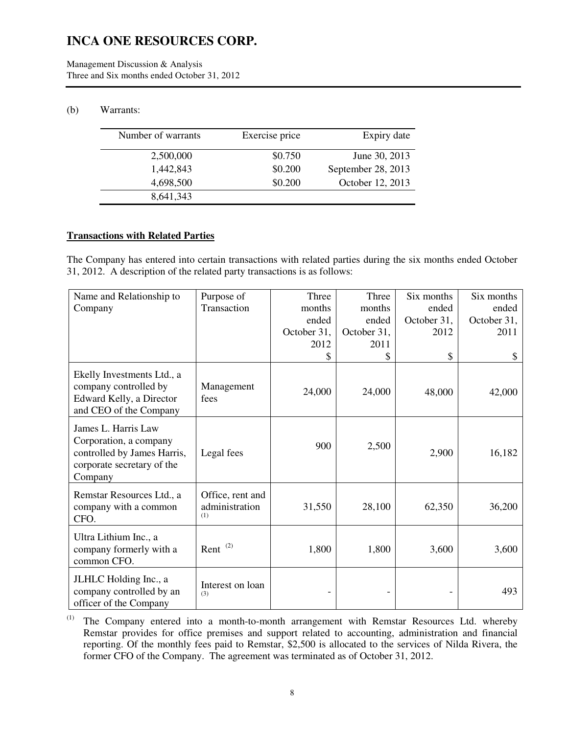Management Discussion & Analysis Three and Six months ended October 31, 2012

### (b) Warrants:

| Number of warrants | Exercise price | Expiry date        |
|--------------------|----------------|--------------------|
| 2,500,000          | \$0.750        | June 30, 2013      |
| 1,442,843          | \$0.200        | September 28, 2013 |
| 4,698,500          | \$0.200        | October 12, 2013   |
| 8,641,343          |                |                    |

### **Transactions with Related Parties**

The Company has entered into certain transactions with related parties during the six months ended October 31, 2012. A description of the related party transactions is as follows:

| Name and Relationship to                                                                                              | Purpose of                                | Three       | Three       | Six months  | Six months  |
|-----------------------------------------------------------------------------------------------------------------------|-------------------------------------------|-------------|-------------|-------------|-------------|
| Company                                                                                                               | Transaction                               | months      | months      | ended       | ended       |
|                                                                                                                       |                                           | ended       | ended       | October 31, | October 31, |
|                                                                                                                       |                                           | October 31, | October 31, | 2012        | 2011        |
|                                                                                                                       |                                           | 2012        | 2011        |             |             |
|                                                                                                                       |                                           | \$          | \$          | \$          | \$          |
| Ekelly Investments Ltd., a<br>company controlled by<br>Edward Kelly, a Director<br>and CEO of the Company             | Management<br>fees                        | 24,000      | 24,000      | 48,000      | 42,000      |
| James L. Harris Law<br>Corporation, a company<br>controlled by James Harris,<br>corporate secretary of the<br>Company | Legal fees                                | 900         | 2,500       | 2,900       | 16,182      |
| Remstar Resources Ltd., a<br>company with a common<br>CFO.                                                            | Office, rent and<br>administration<br>(1) | 31,550      | 28,100      | 62,350      | 36,200      |
| Ultra Lithium Inc., a<br>company formerly with a<br>common CFO.                                                       | Rent <sup>(2)</sup>                       | 1,800       | 1,800       | 3,600       | 3,600       |
| JLHLC Holding Inc., a<br>company controlled by an<br>officer of the Company                                           | Interest on loan<br>(3)                   |             |             |             | 493         |

(1) The Company entered into a month-to-month arrangement with Remstar Resources Ltd. whereby Remstar provides for office premises and support related to accounting, administration and financial reporting. Of the monthly fees paid to Remstar, \$2,500 is allocated to the services of Nilda Rivera, the former CFO of the Company. The agreement was terminated as of October 31, 2012.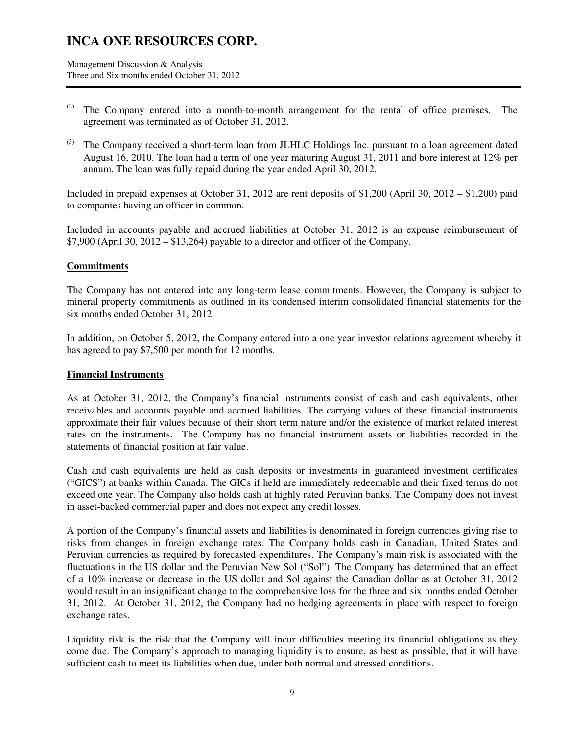Management Discussion & Analysis Three and Six months ended October 31, 2012

- <sup>(2)</sup> The Company entered into a month-to-month arrangement for the rental of office premises. The agreement was terminated as of October 31, 2012.
- $^{(3)}$  The Company received a short-term loan from JLHLC Holdings Inc. pursuant to a loan agreement dated August 16, 2010. The loan had a term of one year maturing August 31, 2011 and bore interest at 12% per annum. The loan was fully repaid during the year ended April 30, 2012.

Included in prepaid expenses at October 31, 2012 are rent deposits of \$1,200 (April 30, 2012 – \$1,200) paid to companies having an officer in common.

Included in accounts payable and accrued liabilities at October 31, 2012 is an expense reimbursement of  $$7,900$  (April 30, 2012 –  $$13,264$ ) payable to a director and officer of the Company.

### **Commitments**

The Company has not entered into any long-term lease commitments. However, the Company is subject to mineral property commitments as outlined in its condensed interim consolidated financial statements for the six months ended October 31, 2012.

In addition, on October 5, 2012, the Company entered into a one year investor relations agreement whereby it has agreed to pay \$7,500 per month for 12 months.

### **Financial Instruments**

As at October 31, 2012, the Company's financial instruments consist of cash and cash equivalents, other receivables and accounts payable and accrued liabilities. The carrying values of these financial instruments approximate their fair values because of their short term nature and/or the existence of market related interest rates on the instruments. The Company has no financial instrument assets or liabilities recorded in the statements of financial position at fair value.

Cash and cash equivalents are held as cash deposits or investments in guaranteed investment certificates ("GICS") at banks within Canada. The GICs if held are immediately redeemable and their fixed terms do not exceed one year. The Company also holds cash at highly rated Peruvian banks. The Company does not invest in asset-backed commercial paper and does not expect any credit losses.

A portion of the Company's financial assets and liabilities is denominated in foreign currencies giving rise to risks from changes in foreign exchange rates. The Company holds cash in Canadian, United States and Peruvian currencies as required by forecasted expenditures. The Company's main risk is associated with the fluctuations in the US dollar and the Peruvian New Sol ("Sol"). The Company has determined that an effect of a 10% increase or decrease in the US dollar and Sol against the Canadian dollar as at October 31, 2012 would result in an insignificant change to the comprehensive loss for the three and six months ended October 31, 2012. At October 31, 2012, the Company had no hedging agreements in place with respect to foreign exchange rates.

Liquidity risk is the risk that the Company will incur difficulties meeting its financial obligations as they come due. The Company's approach to managing liquidity is to ensure, as best as possible, that it will have sufficient cash to meet its liabilities when due, under both normal and stressed conditions.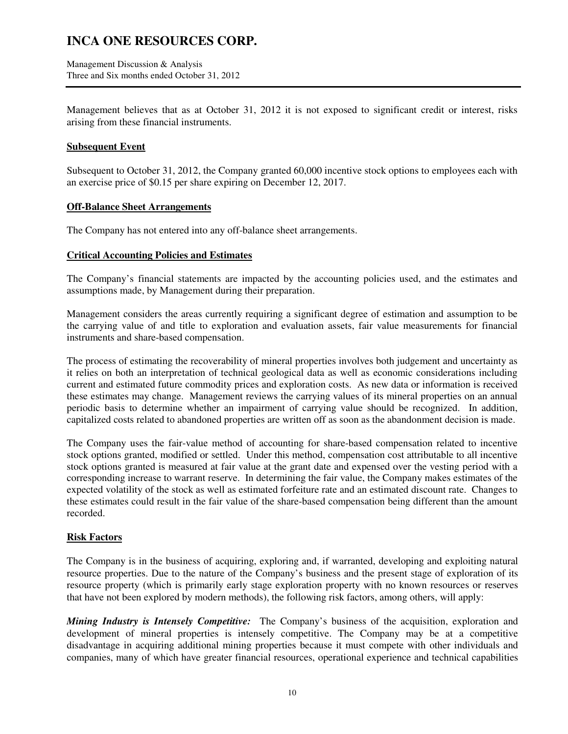Management Discussion & Analysis Three and Six months ended October 31, 2012

Management believes that as at October 31, 2012 it is not exposed to significant credit or interest, risks arising from these financial instruments.

### **Subsequent Event**

Subsequent to October 31, 2012, the Company granted 60,000 incentive stock options to employees each with an exercise price of \$0.15 per share expiring on December 12, 2017.

### **Off-Balance Sheet Arrangements**

The Company has not entered into any off-balance sheet arrangements.

## **Critical Accounting Policies and Estimates**

The Company's financial statements are impacted by the accounting policies used, and the estimates and assumptions made, by Management during their preparation.

Management considers the areas currently requiring a significant degree of estimation and assumption to be the carrying value of and title to exploration and evaluation assets, fair value measurements for financial instruments and share-based compensation.

The process of estimating the recoverability of mineral properties involves both judgement and uncertainty as it relies on both an interpretation of technical geological data as well as economic considerations including current and estimated future commodity prices and exploration costs. As new data or information is received these estimates may change. Management reviews the carrying values of its mineral properties on an annual periodic basis to determine whether an impairment of carrying value should be recognized. In addition, capitalized costs related to abandoned properties are written off as soon as the abandonment decision is made.

The Company uses the fair-value method of accounting for share-based compensation related to incentive stock options granted, modified or settled. Under this method, compensation cost attributable to all incentive stock options granted is measured at fair value at the grant date and expensed over the vesting period with a corresponding increase to warrant reserve. In determining the fair value, the Company makes estimates of the expected volatility of the stock as well as estimated forfeiture rate and an estimated discount rate. Changes to these estimates could result in the fair value of the share-based compensation being different than the amount recorded.

## **Risk Factors**

The Company is in the business of acquiring, exploring and, if warranted, developing and exploiting natural resource properties. Due to the nature of the Company's business and the present stage of exploration of its resource property (which is primarily early stage exploration property with no known resources or reserves that have not been explored by modern methods), the following risk factors, among others, will apply:

*Mining Industry is Intensely Competitive:* The Company's business of the acquisition, exploration and development of mineral properties is intensely competitive. The Company may be at a competitive disadvantage in acquiring additional mining properties because it must compete with other individuals and companies, many of which have greater financial resources, operational experience and technical capabilities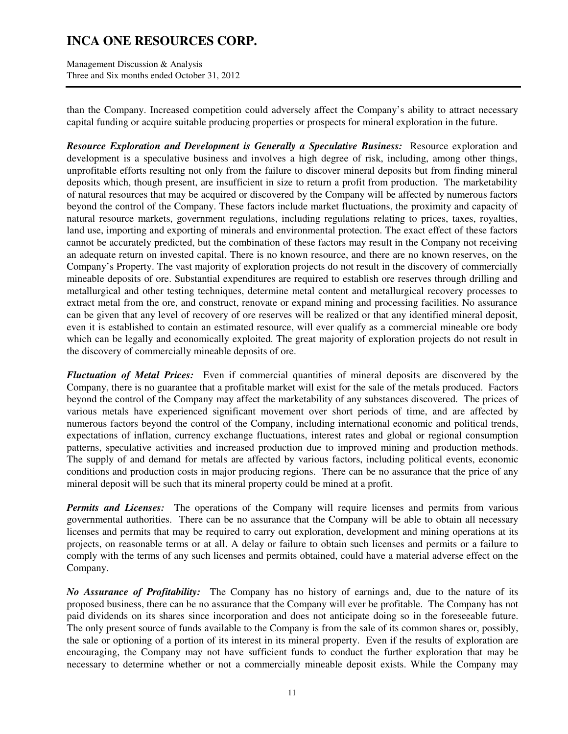Management Discussion & Analysis Three and Six months ended October 31, 2012

than the Company. Increased competition could adversely affect the Company's ability to attract necessary capital funding or acquire suitable producing properties or prospects for mineral exploration in the future.

*Resource Exploration and Development is Generally a Speculative Business:* Resource exploration and development is a speculative business and involves a high degree of risk, including, among other things, unprofitable efforts resulting not only from the failure to discover mineral deposits but from finding mineral deposits which, though present, are insufficient in size to return a profit from production. The marketability of natural resources that may be acquired or discovered by the Company will be affected by numerous factors beyond the control of the Company. These factors include market fluctuations, the proximity and capacity of natural resource markets, government regulations, including regulations relating to prices, taxes, royalties, land use, importing and exporting of minerals and environmental protection. The exact effect of these factors cannot be accurately predicted, but the combination of these factors may result in the Company not receiving an adequate return on invested capital. There is no known resource, and there are no known reserves, on the Company's Property. The vast majority of exploration projects do not result in the discovery of commercially mineable deposits of ore. Substantial expenditures are required to establish ore reserves through drilling and metallurgical and other testing techniques, determine metal content and metallurgical recovery processes to extract metal from the ore, and construct, renovate or expand mining and processing facilities. No assurance can be given that any level of recovery of ore reserves will be realized or that any identified mineral deposit, even it is established to contain an estimated resource, will ever qualify as a commercial mineable ore body which can be legally and economically exploited. The great majority of exploration projects do not result in the discovery of commercially mineable deposits of ore.

*Fluctuation of Metal Prices:* Even if commercial quantities of mineral deposits are discovered by the Company, there is no guarantee that a profitable market will exist for the sale of the metals produced. Factors beyond the control of the Company may affect the marketability of any substances discovered. The prices of various metals have experienced significant movement over short periods of time, and are affected by numerous factors beyond the control of the Company, including international economic and political trends, expectations of inflation, currency exchange fluctuations, interest rates and global or regional consumption patterns, speculative activities and increased production due to improved mining and production methods. The supply of and demand for metals are affected by various factors, including political events, economic conditions and production costs in major producing regions. There can be no assurance that the price of any mineral deposit will be such that its mineral property could be mined at a profit.

*Permits and Licenses:* The operations of the Company will require licenses and permits from various governmental authorities. There can be no assurance that the Company will be able to obtain all necessary licenses and permits that may be required to carry out exploration, development and mining operations at its projects, on reasonable terms or at all. A delay or failure to obtain such licenses and permits or a failure to comply with the terms of any such licenses and permits obtained, could have a material adverse effect on the Company.

*No Assurance of Profitability:* The Company has no history of earnings and, due to the nature of its proposed business, there can be no assurance that the Company will ever be profitable. The Company has not paid dividends on its shares since incorporation and does not anticipate doing so in the foreseeable future. The only present source of funds available to the Company is from the sale of its common shares or, possibly, the sale or optioning of a portion of its interest in its mineral property. Even if the results of exploration are encouraging, the Company may not have sufficient funds to conduct the further exploration that may be necessary to determine whether or not a commercially mineable deposit exists. While the Company may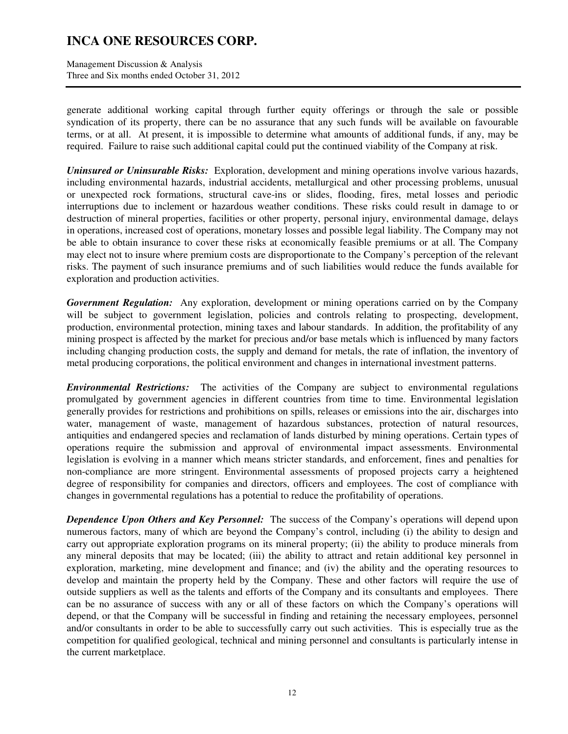Management Discussion & Analysis Three and Six months ended October 31, 2012

generate additional working capital through further equity offerings or through the sale or possible syndication of its property, there can be no assurance that any such funds will be available on favourable terms, or at all. At present, it is impossible to determine what amounts of additional funds, if any, may be required. Failure to raise such additional capital could put the continued viability of the Company at risk.

*Uninsured or Uninsurable Risks:* Exploration, development and mining operations involve various hazards, including environmental hazards, industrial accidents, metallurgical and other processing problems, unusual or unexpected rock formations, structural cave-ins or slides, flooding, fires, metal losses and periodic interruptions due to inclement or hazardous weather conditions. These risks could result in damage to or destruction of mineral properties, facilities or other property, personal injury, environmental damage, delays in operations, increased cost of operations, monetary losses and possible legal liability. The Company may not be able to obtain insurance to cover these risks at economically feasible premiums or at all. The Company may elect not to insure where premium costs are disproportionate to the Company's perception of the relevant risks. The payment of such insurance premiums and of such liabilities would reduce the funds available for exploration and production activities.

*Government Regulation:* Any exploration, development or mining operations carried on by the Company will be subject to government legislation, policies and controls relating to prospecting, development, production, environmental protection, mining taxes and labour standards. In addition, the profitability of any mining prospect is affected by the market for precious and/or base metals which is influenced by many factors including changing production costs, the supply and demand for metals, the rate of inflation, the inventory of metal producing corporations, the political environment and changes in international investment patterns.

*Environmental Restrictions:* The activities of the Company are subject to environmental regulations promulgated by government agencies in different countries from time to time. Environmental legislation generally provides for restrictions and prohibitions on spills, releases or emissions into the air, discharges into water, management of waste, management of hazardous substances, protection of natural resources, antiquities and endangered species and reclamation of lands disturbed by mining operations. Certain types of operations require the submission and approval of environmental impact assessments. Environmental legislation is evolving in a manner which means stricter standards, and enforcement, fines and penalties for non-compliance are more stringent. Environmental assessments of proposed projects carry a heightened degree of responsibility for companies and directors, officers and employees. The cost of compliance with changes in governmental regulations has a potential to reduce the profitability of operations.

*Dependence Upon Others and Key Personnel:* The success of the Company's operations will depend upon numerous factors, many of which are beyond the Company's control, including (i) the ability to design and carry out appropriate exploration programs on its mineral property; (ii) the ability to produce minerals from any mineral deposits that may be located; (iii) the ability to attract and retain additional key personnel in exploration, marketing, mine development and finance; and (iv) the ability and the operating resources to develop and maintain the property held by the Company. These and other factors will require the use of outside suppliers as well as the talents and efforts of the Company and its consultants and employees. There can be no assurance of success with any or all of these factors on which the Company's operations will depend, or that the Company will be successful in finding and retaining the necessary employees, personnel and/or consultants in order to be able to successfully carry out such activities. This is especially true as the competition for qualified geological, technical and mining personnel and consultants is particularly intense in the current marketplace.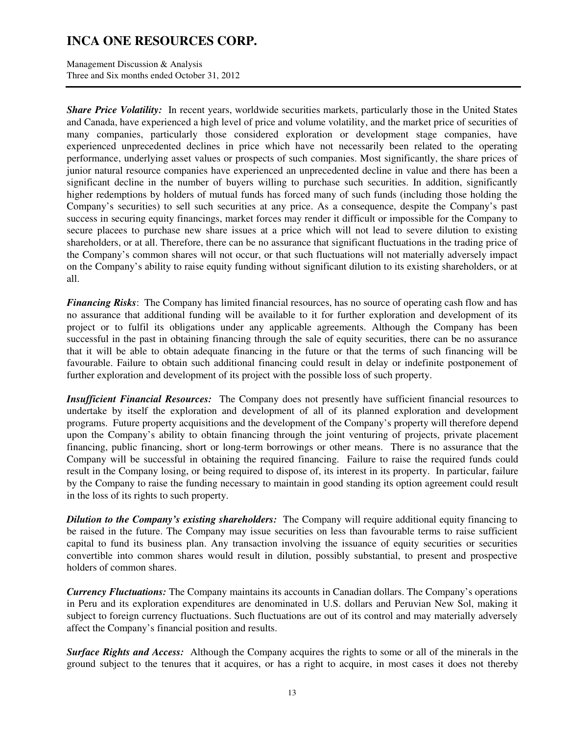Management Discussion & Analysis Three and Six months ended October 31, 2012

*Share Price Volatility:* In recent years, worldwide securities markets, particularly those in the United States and Canada, have experienced a high level of price and volume volatility, and the market price of securities of many companies, particularly those considered exploration or development stage companies, have experienced unprecedented declines in price which have not necessarily been related to the operating performance, underlying asset values or prospects of such companies. Most significantly, the share prices of junior natural resource companies have experienced an unprecedented decline in value and there has been a significant decline in the number of buyers willing to purchase such securities. In addition, significantly higher redemptions by holders of mutual funds has forced many of such funds (including those holding the Company's securities) to sell such securities at any price. As a consequence, despite the Company's past success in securing equity financings, market forces may render it difficult or impossible for the Company to secure placees to purchase new share issues at a price which will not lead to severe dilution to existing shareholders, or at all. Therefore, there can be no assurance that significant fluctuations in the trading price of the Company's common shares will not occur, or that such fluctuations will not materially adversely impact on the Company's ability to raise equity funding without significant dilution to its existing shareholders, or at all.

*Financing Risks*: The Company has limited financial resources, has no source of operating cash flow and has no assurance that additional funding will be available to it for further exploration and development of its project or to fulfil its obligations under any applicable agreements. Although the Company has been successful in the past in obtaining financing through the sale of equity securities, there can be no assurance that it will be able to obtain adequate financing in the future or that the terms of such financing will be favourable. Failure to obtain such additional financing could result in delay or indefinite postponement of further exploration and development of its project with the possible loss of such property.

*Insufficient Financial Resources:* The Company does not presently have sufficient financial resources to undertake by itself the exploration and development of all of its planned exploration and development programs. Future property acquisitions and the development of the Company's property will therefore depend upon the Company's ability to obtain financing through the joint venturing of projects, private placement financing, public financing, short or long-term borrowings or other means. There is no assurance that the Company will be successful in obtaining the required financing. Failure to raise the required funds could result in the Company losing, or being required to dispose of, its interest in its property. In particular, failure by the Company to raise the funding necessary to maintain in good standing its option agreement could result in the loss of its rights to such property.

*Dilution to the Company's existing shareholders:* The Company will require additional equity financing to be raised in the future. The Company may issue securities on less than favourable terms to raise sufficient capital to fund its business plan. Any transaction involving the issuance of equity securities or securities convertible into common shares would result in dilution, possibly substantial, to present and prospective holders of common shares.

*Currency Fluctuations:* The Company maintains its accounts in Canadian dollars. The Company's operations in Peru and its exploration expenditures are denominated in U.S. dollars and Peruvian New Sol, making it subject to foreign currency fluctuations. Such fluctuations are out of its control and may materially adversely affect the Company's financial position and results.

*Surface Rights and Access:* Although the Company acquires the rights to some or all of the minerals in the ground subject to the tenures that it acquires, or has a right to acquire, in most cases it does not thereby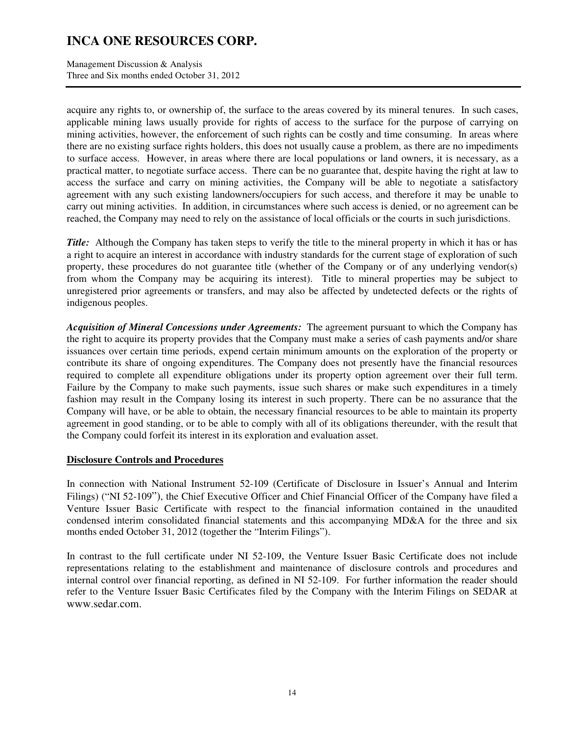Management Discussion & Analysis Three and Six months ended October 31, 2012

acquire any rights to, or ownership of, the surface to the areas covered by its mineral tenures. In such cases, applicable mining laws usually provide for rights of access to the surface for the purpose of carrying on mining activities, however, the enforcement of such rights can be costly and time consuming. In areas where there are no existing surface rights holders, this does not usually cause a problem, as there are no impediments to surface access. However, in areas where there are local populations or land owners, it is necessary, as a practical matter, to negotiate surface access. There can be no guarantee that, despite having the right at law to access the surface and carry on mining activities, the Company will be able to negotiate a satisfactory agreement with any such existing landowners/occupiers for such access, and therefore it may be unable to carry out mining activities. In addition, in circumstances where such access is denied, or no agreement can be reached, the Company may need to rely on the assistance of local officials or the courts in such jurisdictions.

*Title:* Although the Company has taken steps to verify the title to the mineral property in which it has or has a right to acquire an interest in accordance with industry standards for the current stage of exploration of such property, these procedures do not guarantee title (whether of the Company or of any underlying vendor(s) from whom the Company may be acquiring its interest). Title to mineral properties may be subject to unregistered prior agreements or transfers, and may also be affected by undetected defects or the rights of indigenous peoples.

*Acquisition of Mineral Concessions under Agreements:* The agreement pursuant to which the Company has the right to acquire its property provides that the Company must make a series of cash payments and/or share issuances over certain time periods, expend certain minimum amounts on the exploration of the property or contribute its share of ongoing expenditures. The Company does not presently have the financial resources required to complete all expenditure obligations under its property option agreement over their full term. Failure by the Company to make such payments, issue such shares or make such expenditures in a timely fashion may result in the Company losing its interest in such property. There can be no assurance that the Company will have, or be able to obtain, the necessary financial resources to be able to maintain its property agreement in good standing, or to be able to comply with all of its obligations thereunder, with the result that the Company could forfeit its interest in its exploration and evaluation asset.

### **Disclosure Controls and Procedures**

In connection with National Instrument 52-109 (Certificate of Disclosure in Issuer's Annual and Interim Filings) ("NI 52-109"), the Chief Executive Officer and Chief Financial Officer of the Company have filed a Venture Issuer Basic Certificate with respect to the financial information contained in the unaudited condensed interim consolidated financial statements and this accompanying MD&A for the three and six months ended October 31, 2012 (together the "Interim Filings").

In contrast to the full certificate under NI 52-109, the Venture Issuer Basic Certificate does not include representations relating to the establishment and maintenance of disclosure controls and procedures and internal control over financial reporting, as defined in NI 52-109. For further information the reader should refer to the Venture Issuer Basic Certificates filed by the Company with the Interim Filings on SEDAR at www.sedar.com.